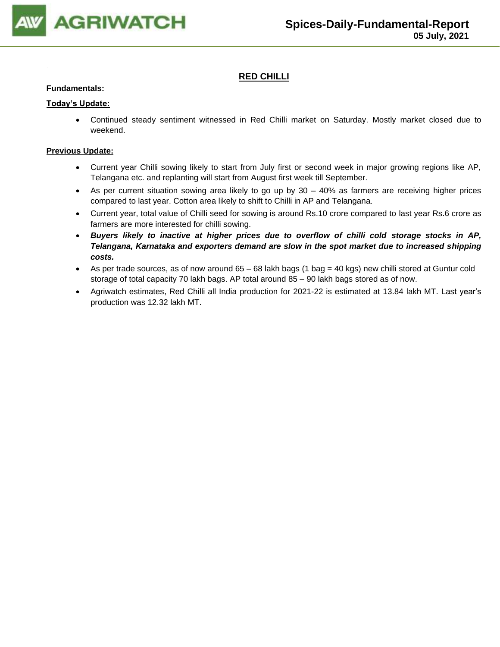

### **RED CHILLI**

#### **Fundamentals:**

#### **Today's Update:**

• Continued steady sentiment witnessed in Red Chilli market on Saturday. Mostly market closed due to weekend.

- Current year Chilli sowing likely to start from July first or second week in major growing regions like AP, Telangana etc. and replanting will start from August first week till September.
- As per current situation sowing area likely to go up by 30 40% as farmers are receiving higher prices compared to last year. Cotton area likely to shift to Chilli in AP and Telangana.
- Current year, total value of Chilli seed for sowing is around Rs.10 crore compared to last year Rs.6 crore as farmers are more interested for chilli sowing.
- *Buyers likely to inactive at higher prices due to overflow of chilli cold storage stocks in AP, Telangana, Karnataka and exporters demand are slow in the spot market due to increased shipping costs.*
- As per trade sources, as of now around 65 68 lakh bags (1 bag = 40 kgs) new chilli stored at Guntur cold storage of total capacity 70 lakh bags. AP total around 85 – 90 lakh bags stored as of now.
- Agriwatch estimates, Red Chilli all India production for 2021-22 is estimated at 13.84 lakh MT. Last year's production was 12.32 lakh MT.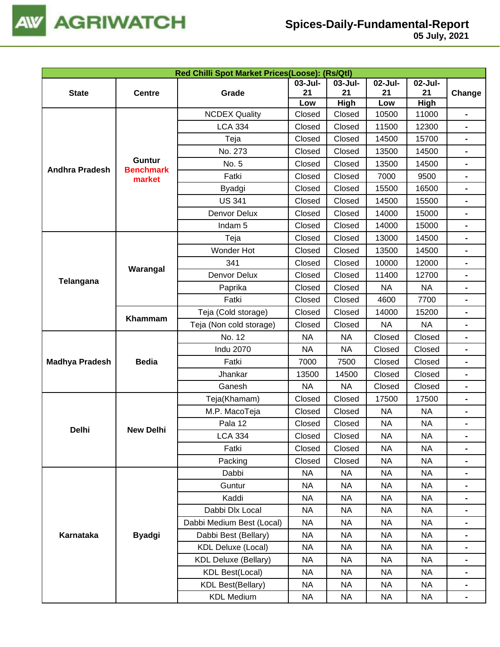

|                       | Red Chilli Spot Market Prices(Loose): (Rs/Qtl) |                             |           |             |           |           |                                                                                                                                                                                                                                      |  |  |
|-----------------------|------------------------------------------------|-----------------------------|-----------|-------------|-----------|-----------|--------------------------------------------------------------------------------------------------------------------------------------------------------------------------------------------------------------------------------------|--|--|
|                       |                                                |                             | 03-Jul-   | 03-Jul-     | 02-Jul-   | 02-Jul-   |                                                                                                                                                                                                                                      |  |  |
| <b>State</b>          | <b>Centre</b>                                  | Grade                       | 21        | 21          | 21        | 21        | Change<br>$\blacksquare$<br>$\blacksquare$<br>$\blacksquare$<br>$\qquad \qquad \blacksquare$<br>$\blacksquare$<br>$\qquad \qquad \blacksquare$<br>$\blacksquare$<br>$\blacksquare$<br>$\qquad \qquad \blacksquare$<br>$\blacksquare$ |  |  |
|                       |                                                |                             | Low       | <b>High</b> | Low       | High      |                                                                                                                                                                                                                                      |  |  |
|                       |                                                | <b>NCDEX Quality</b>        | Closed    | Closed      | 10500     | 11000     |                                                                                                                                                                                                                                      |  |  |
|                       |                                                | <b>LCA 334</b>              | Closed    | Closed      | 11500     | 12300     |                                                                                                                                                                                                                                      |  |  |
|                       |                                                | Teja                        | Closed    | Closed      | 14500     | 15700     |                                                                                                                                                                                                                                      |  |  |
|                       | Guntur                                         | No. 273                     | Closed    | Closed      | 13500     | 14500     |                                                                                                                                                                                                                                      |  |  |
| <b>Andhra Pradesh</b> | <b>Benchmark</b>                               | No. 5                       | Closed    | Closed      | 13500     | 14500     |                                                                                                                                                                                                                                      |  |  |
|                       | market                                         | Fatki                       | Closed    | Closed      | 7000      | 9500      |                                                                                                                                                                                                                                      |  |  |
|                       |                                                | <b>Byadgi</b>               | Closed    | Closed      | 15500     | 16500     |                                                                                                                                                                                                                                      |  |  |
|                       |                                                | <b>US 341</b>               | Closed    | Closed      | 14500     | 15500     |                                                                                                                                                                                                                                      |  |  |
|                       |                                                | Denvor Delux                | Closed    | Closed      | 14000     | 15000     |                                                                                                                                                                                                                                      |  |  |
|                       |                                                | Indam <sub>5</sub>          | Closed    | Closed      | 14000     | 15000     |                                                                                                                                                                                                                                      |  |  |
|                       |                                                | Teja                        | Closed    | Closed      | 13000     | 14500     |                                                                                                                                                                                                                                      |  |  |
|                       |                                                | Wonder Hot                  | Closed    | Closed      | 13500     | 14500     |                                                                                                                                                                                                                                      |  |  |
| Telangana             | Warangal                                       | 341                         | Closed    | Closed      | 10000     | 12000     |                                                                                                                                                                                                                                      |  |  |
|                       |                                                | Denvor Delux                | Closed    | Closed      | 11400     | 12700     |                                                                                                                                                                                                                                      |  |  |
|                       |                                                | Paprika                     | Closed    | Closed      | <b>NA</b> | <b>NA</b> |                                                                                                                                                                                                                                      |  |  |
|                       |                                                | Fatki                       | Closed    | Closed      | 4600      | 7700      |                                                                                                                                                                                                                                      |  |  |
|                       | Khammam                                        | Teja (Cold storage)         | Closed    | Closed      | 14000     | 15200     |                                                                                                                                                                                                                                      |  |  |
|                       |                                                | Teja (Non cold storage)     | Closed    | Closed      | <b>NA</b> | <b>NA</b> |                                                                                                                                                                                                                                      |  |  |
|                       |                                                | No. 12                      | <b>NA</b> | <b>NA</b>   | Closed    | Closed    |                                                                                                                                                                                                                                      |  |  |
|                       |                                                | <b>Indu 2070</b>            | <b>NA</b> | <b>NA</b>   | Closed    | Closed    |                                                                                                                                                                                                                                      |  |  |
| <b>Madhya Pradesh</b> | <b>Bedia</b>                                   | Fatki                       | 7000      | 7500        | Closed    | Closed    | $\blacksquare$<br>$\blacksquare$<br>$\qquad \qquad \blacksquare$<br>$\blacksquare$<br>$\blacksquare$<br>$\blacksquare$<br>$\blacksquare$<br>$\qquad \qquad \blacksquare$<br>$\blacksquare$                                           |  |  |
|                       |                                                | Jhankar                     | 13500     | 14500       | Closed    | Closed    |                                                                                                                                                                                                                                      |  |  |
|                       |                                                | Ganesh                      | <b>NA</b> | <b>NA</b>   | Closed    | Closed    |                                                                                                                                                                                                                                      |  |  |
|                       |                                                | Teja(Khamam)                | Closed    | Closed      | 17500     | 17500     |                                                                                                                                                                                                                                      |  |  |
|                       |                                                | M.P. MacoTeja               | Closed    | Closed      | <b>NA</b> | <b>NA</b> |                                                                                                                                                                                                                                      |  |  |
|                       |                                                | Pala 12                     | Closed    | Closed      | <b>NA</b> | <b>NA</b> |                                                                                                                                                                                                                                      |  |  |
| Delhi                 | <b>New Delhi</b>                               | <b>LCA 334</b>              | Closed    | Closed      | <b>NA</b> | <b>NA</b> |                                                                                                                                                                                                                                      |  |  |
|                       |                                                | Fatki                       | Closed    | Closed      | <b>NA</b> | <b>NA</b> |                                                                                                                                                                                                                                      |  |  |
|                       |                                                | Packing                     | Closed    | Closed      | <b>NA</b> | <b>NA</b> |                                                                                                                                                                                                                                      |  |  |
|                       |                                                | Dabbi                       | <b>NA</b> | <b>NA</b>   | <b>NA</b> | NA        |                                                                                                                                                                                                                                      |  |  |
|                       |                                                | Guntur                      | <b>NA</b> | <b>NA</b>   | <b>NA</b> | <b>NA</b> |                                                                                                                                                                                                                                      |  |  |
|                       |                                                | Kaddi                       | <b>NA</b> | <b>NA</b>   | <b>NA</b> | <b>NA</b> |                                                                                                                                                                                                                                      |  |  |
|                       |                                                | Dabbi Dlx Local             | <b>NA</b> | <b>NA</b>   | <b>NA</b> | <b>NA</b> |                                                                                                                                                                                                                                      |  |  |
|                       |                                                | Dabbi Medium Best (Local)   | NА        | NA          | <b>NA</b> | <b>NA</b> |                                                                                                                                                                                                                                      |  |  |
| Karnataka             | <b>Byadgi</b>                                  | Dabbi Best (Bellary)        | <b>NA</b> | <b>NA</b>   | <b>NA</b> | <b>NA</b> |                                                                                                                                                                                                                                      |  |  |
|                       |                                                | <b>KDL Deluxe (Local)</b>   | NA        | NA          | <b>NA</b> | <b>NA</b> |                                                                                                                                                                                                                                      |  |  |
|                       |                                                | <b>KDL Deluxe (Bellary)</b> | NA        | NA          | <b>NA</b> | <b>NA</b> |                                                                                                                                                                                                                                      |  |  |
|                       |                                                | KDL Best(Local)             | NA        | NA          | <b>NA</b> | NA        |                                                                                                                                                                                                                                      |  |  |
|                       |                                                | <b>KDL Best(Bellary)</b>    | <b>NA</b> | <b>NA</b>   | <b>NA</b> | <b>NA</b> |                                                                                                                                                                                                                                      |  |  |
|                       |                                                | <b>KDL Medium</b>           | NA        | <b>NA</b>   | <b>NA</b> | NA        |                                                                                                                                                                                                                                      |  |  |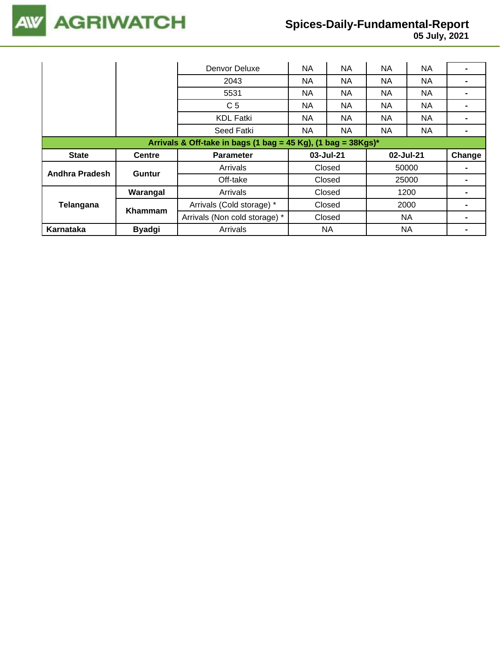

## **Spices-Daily-Fundamental-Report**

|                                                                  |               | Denvor Deluxe                 | <b>NA</b> | NA<br><b>NA</b><br><b>NA</b> |           |           |        |  |  |
|------------------------------------------------------------------|---------------|-------------------------------|-----------|------------------------------|-----------|-----------|--------|--|--|
|                                                                  |               | 2043                          | NA.       | NA                           | NA        | <b>NA</b> |        |  |  |
|                                                                  |               | 5531                          | NA.       | NA.                          | NA.       | NA.       |        |  |  |
|                                                                  |               | C <sub>5</sub>                | <b>NA</b> | NA                           | <b>NA</b> | NA        |        |  |  |
|                                                                  |               | <b>KDL Fatki</b>              | <b>NA</b> | NA                           | <b>NA</b> | <b>NA</b> |        |  |  |
|                                                                  |               | Seed Fatki                    | NA.       | NA                           | <b>NA</b> | NA.       |        |  |  |
| Arrivals & Off-take in bags (1 bag = 45 Kg), (1 bag = $38Kgs$ )* |               |                               |           |                              |           |           |        |  |  |
|                                                                  |               |                               |           |                              |           |           |        |  |  |
| <b>State</b>                                                     | <b>Centre</b> | <b>Parameter</b>              | 03-Jul-21 |                              | 02-Jul-21 |           | Change |  |  |
|                                                                  |               | Arrivals                      |           | Closed                       |           | 50000     |        |  |  |
| Andhra Pradesh                                                   | Guntur        | Off-take                      |           | Closed                       |           | 25000     |        |  |  |
|                                                                  | Warangal      | Arrivals                      |           | Closed                       |           | 1200      |        |  |  |
| Telangana                                                        |               | Arrivals (Cold storage) *     |           | Closed                       |           | 2000      |        |  |  |
|                                                                  | Khammam       | Arrivals (Non cold storage) * |           | Closed                       |           | <b>NA</b> |        |  |  |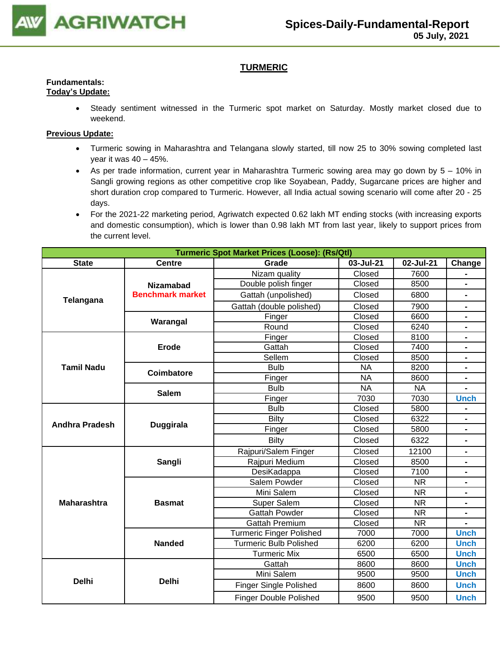

#### **TURMERIC**

#### **Fundamentals: Today's Update:**

• Steady sentiment witnessed in the Turmeric spot market on Saturday. Mostly market closed due to weekend.

- Turmeric sowing in Maharashtra and Telangana slowly started, till now 25 to 30% sowing completed last year it was  $40 - 45%$ .
- As per trade information, current year in Maharashtra Turmeric sowing area may go down by 5 10% in Sangli growing regions as other competitive crop like Soyabean, Paddy, Sugarcane prices are higher and short duration crop compared to Turmeric. However, all India actual sowing scenario will come after 20 - 25 days.
- For the 2021-22 marketing period, Agriwatch expected 0.62 lakh MT ending stocks (with increasing exports and domestic consumption), which is lower than 0.98 lakh MT from last year, likely to support prices from the current level.

|                       | <b>Turmeric Spot Market Prices (Loose): (Rs/Qtl)</b> |                                 |           |           |                                                                                                                                                         |  |  |  |  |
|-----------------------|------------------------------------------------------|---------------------------------|-----------|-----------|---------------------------------------------------------------------------------------------------------------------------------------------------------|--|--|--|--|
| <b>State</b>          | <b>Centre</b>                                        | Grade                           | 03-Jul-21 | 02-Jul-21 | Change                                                                                                                                                  |  |  |  |  |
|                       |                                                      | Nizam quality                   | Closed    | 7600      |                                                                                                                                                         |  |  |  |  |
|                       | <b>Nizamabad</b>                                     | Double polish finger            | Closed    | 8500      | $\blacksquare$                                                                                                                                          |  |  |  |  |
| Telangana             | <b>Benchmark market</b>                              | Gattah (unpolished)             | Closed    | 6800      |                                                                                                                                                         |  |  |  |  |
|                       |                                                      | Gattah (double polished)        | Closed    | 7900      |                                                                                                                                                         |  |  |  |  |
|                       |                                                      | Finger                          | Closed    | 6600      | $\blacksquare$                                                                                                                                          |  |  |  |  |
|                       | Warangal                                             | Round                           | Closed    | 6240      | $\blacksquare$                                                                                                                                          |  |  |  |  |
|                       |                                                      | Finger                          | Closed    | 8100      |                                                                                                                                                         |  |  |  |  |
|                       | <b>Erode</b>                                         | Gattah                          | Closed    | 7400      |                                                                                                                                                         |  |  |  |  |
|                       |                                                      | Sellem                          | Closed    | 8500      |                                                                                                                                                         |  |  |  |  |
| <b>Tamil Nadu</b>     | Coimbatore                                           | <b>Bulb</b>                     | <b>NA</b> | 8200      |                                                                                                                                                         |  |  |  |  |
|                       |                                                      | Finger                          | <b>NA</b> | 8600      | <b>Unch</b><br>$\qquad \qquad \blacksquare$<br>$\blacksquare$<br><b>Unch</b><br><b>Unch</b><br><b>Unch</b><br><b>Unch</b><br><b>Unch</b><br><b>Unch</b> |  |  |  |  |
|                       | <b>Salem</b>                                         | <b>Bulb</b>                     | <b>NA</b> | <b>NA</b> |                                                                                                                                                         |  |  |  |  |
|                       |                                                      | Finger                          | 7030      | 7030      |                                                                                                                                                         |  |  |  |  |
|                       |                                                      | <b>Bulb</b>                     | Closed    | 5800      |                                                                                                                                                         |  |  |  |  |
| <b>Andhra Pradesh</b> |                                                      | <b>Bilty</b>                    | Closed    | 6322      |                                                                                                                                                         |  |  |  |  |
|                       | <b>Duggirala</b>                                     | Finger                          | Closed    | 5800      |                                                                                                                                                         |  |  |  |  |
|                       |                                                      | <b>Bilty</b>                    | Closed    | 6322      |                                                                                                                                                         |  |  |  |  |
|                       |                                                      | Rajpuri/Salem Finger            | Closed    | 12100     |                                                                                                                                                         |  |  |  |  |
|                       | Sangli                                               | Rajpuri Medium                  | Closed    | 8500      |                                                                                                                                                         |  |  |  |  |
|                       |                                                      | DesiKadappa                     | Closed    | 7100      |                                                                                                                                                         |  |  |  |  |
|                       |                                                      | Salem Powder                    | Closed    | <b>NR</b> |                                                                                                                                                         |  |  |  |  |
|                       |                                                      | Mini Salem                      | Closed    | <b>NR</b> |                                                                                                                                                         |  |  |  |  |
| <b>Maharashtra</b>    | <b>Basmat</b>                                        | Super Salem                     | Closed    | <b>NR</b> |                                                                                                                                                         |  |  |  |  |
|                       |                                                      | <b>Gattah Powder</b>            | Closed    | <b>NR</b> |                                                                                                                                                         |  |  |  |  |
|                       |                                                      | <b>Gattah Premium</b>           | Closed    | <b>NR</b> |                                                                                                                                                         |  |  |  |  |
|                       |                                                      | <b>Turmeric Finger Polished</b> | 7000      | 7000      |                                                                                                                                                         |  |  |  |  |
|                       | <b>Nanded</b>                                        | <b>Turmeric Bulb Polished</b>   | 6200      | 6200      |                                                                                                                                                         |  |  |  |  |
|                       |                                                      | <b>Turmeric Mix</b>             | 6500      | 6500      |                                                                                                                                                         |  |  |  |  |
|                       |                                                      | Gattah                          | 8600      | 8600      |                                                                                                                                                         |  |  |  |  |
|                       |                                                      | Mini Salem                      | 9500      | 9500      |                                                                                                                                                         |  |  |  |  |
| <b>Delhi</b>          | <b>Delhi</b>                                         | <b>Finger Single Polished</b>   | 8600      | 8600      |                                                                                                                                                         |  |  |  |  |
|                       |                                                      | <b>Finger Double Polished</b>   | 9500      | 9500      | <b>Unch</b>                                                                                                                                             |  |  |  |  |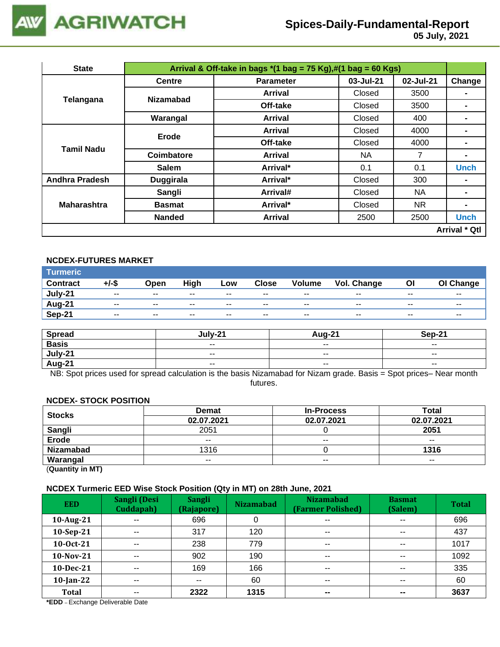

# **Spices-Daily-Fundamental-Report**

 **05 July, 2021**

| <b>State</b>          | Arrival & Off-take in bags $*(1 \text{ bag} = 75 \text{ Kg}),\#(1 \text{ bag} = 60 \text{ Kg})$ |                  |           |           |                |  |  |  |
|-----------------------|-------------------------------------------------------------------------------------------------|------------------|-----------|-----------|----------------|--|--|--|
|                       | <b>Centre</b>                                                                                   | <b>Parameter</b> | 03-Jul-21 | 02-Jul-21 | Change         |  |  |  |
|                       | <b>Nizamabad</b>                                                                                | Arrival          | Closed    | 3500      | $\blacksquare$ |  |  |  |
| Telangana             |                                                                                                 | Off-take         | Closed    | 3500      |                |  |  |  |
|                       | Warangal                                                                                        | Arrival          | Closed    | 400       |                |  |  |  |
|                       | Erode                                                                                           | <b>Arrival</b>   | Closed    | 4000      |                |  |  |  |
| Tamil Nadu            |                                                                                                 | Off-take         | Closed    | 4000      |                |  |  |  |
|                       | Coimbatore                                                                                      | Arrival          | NA.       | 7         | $\blacksquare$ |  |  |  |
|                       | <b>Salem</b>                                                                                    | Arrival*         | 0.1       | 0.1       | <b>Unch</b>    |  |  |  |
| <b>Andhra Pradesh</b> | <b>Duggirala</b>                                                                                | Arrival*         | Closed    | 300       | $\blacksquare$ |  |  |  |
|                       | Sangli                                                                                          | Arrival#         | Closed    | <b>NA</b> |                |  |  |  |
| <b>Maharashtra</b>    | <b>Basmat</b>                                                                                   | Arrival*         | Closed    | NR.       | $\blacksquare$ |  |  |  |
|                       | <b>Nanded</b>                                                                                   | <b>Arrival</b>   | 2500      | 2500      | <b>Unch</b>    |  |  |  |
| <b>Arrival * Qtl</b>  |                                                                                                 |                  |           |           |                |  |  |  |

#### **NCDEX-FUTURES MARKET**

| Turmeric <b>\</b> |                          |       |       |       |              |                          |             |       |           |
|-------------------|--------------------------|-------|-------|-------|--------------|--------------------------|-------------|-------|-----------|
| <b>Contract</b>   | +/-\$                    | Open  | High  | LOW   | <b>Close</b> | <b>Volume</b>            | Vol. Change | Οl    | OI Change |
| July-21           | $\sim$ $\sim$            | $- -$ | $- -$ | $- -$ | $- -$        | $- -$                    | --          | $- -$ | $- -$     |
| <b>Aug-21</b>     | $\overline{\phantom{a}}$ | $- -$ | $- -$ | --    | $- -$        | $\overline{\phantom{a}}$ | $- -$       | $- -$ | $- -$     |
| Sep-21            | $\sim$ $\sim$            | $- -$ | $- -$ | $- -$ | $- -$        | $- -$                    | $- -$       | $- -$ | $- -$     |

| <b>Spread</b> | Julv-21                  | Aug-21                   | Sep-21                   |
|---------------|--------------------------|--------------------------|--------------------------|
| <b>Basis</b>  | $\overline{\phantom{a}}$ | $\sim$ $\sim$            | $\overline{\phantom{a}}$ |
| July-21       | $\sim$ $\sim$            | $\overline{\phantom{a}}$ | $\overline{\phantom{a}}$ |
| Aug-21        | $- -$                    | $- -$                    | $- -$                    |

NB: Spot prices used for spread calculation is the basis Nizamabad for Nizam grade. Basis = Spot prices– Near month futures.

#### **NCDEX- STOCK POSITION**

| <b>Stocks</b>                                  | <b>Demat</b> | <b>In-Process</b> | Total         |
|------------------------------------------------|--------------|-------------------|---------------|
|                                                | 02.07.2021   | 02.07.2021        | 02.07.2021    |
| Sangli                                         | 2051         |                   | 2051          |
| <b>Erode</b>                                   | $- -$        | $- -$             | $\sim$ $\sim$ |
| <b>Nizamabad</b>                               | 1316         |                   | 1316          |
| Warangal                                       | $- -$        | $- -$             | $- -$         |
| $\mathbf{A}$ and $\mathbf{A}$ and $\mathbf{A}$ |              |                   |               |

(**Quantity in MT)**

#### **NCDEX Turmeric EED Wise Stock Position (Qty in MT) on 28th June, 2021**

| <b>EED</b>   | Sangli (Desi<br>Cuddapah) | <b>Sangli</b><br>(Rajapore) | . .<br><b>Nizamabad</b> | <b>Nizamabad</b><br>(Farmer Polished) | <b>Basmat</b><br>(Salem) | <b>Total</b> |
|--------------|---------------------------|-----------------------------|-------------------------|---------------------------------------|--------------------------|--------------|
| 10-Aug-21    | $\sim$ $\sim$             | 696                         | 0                       | $\overline{\phantom{a}}$              | $- -$                    | 696          |
| 10-Sep-21    | $- -$                     | 317                         | 120                     | $\sim$ $\sim$                         | $- -$                    | 437          |
| 10-Oct-21    | $- -$                     | 238                         | 779                     | $\sim$ $\sim$                         | $- -$                    | 1017         |
| 10-Nov-21    | $\sim$ $\sim$             | 902                         | 190                     | $\overline{\phantom{a}}$              | $\overline{\phantom{a}}$ | 1092         |
| 10-Dec-21    | $-$                       | 169                         | 166                     | $\overline{\phantom{a}}$              | $\overline{\phantom{a}}$ | 335          |
| $10$ -Jan-22 | $\sim$ $\sim$             | $- -$                       | 60                      | $\overline{\phantom{a}}$              | $- -$                    | 60           |
| <b>Total</b> | $- -$                     | 2322                        | 1315                    | $\overline{\phantom{a}}$              | $\overline{\phantom{a}}$ | 3637         |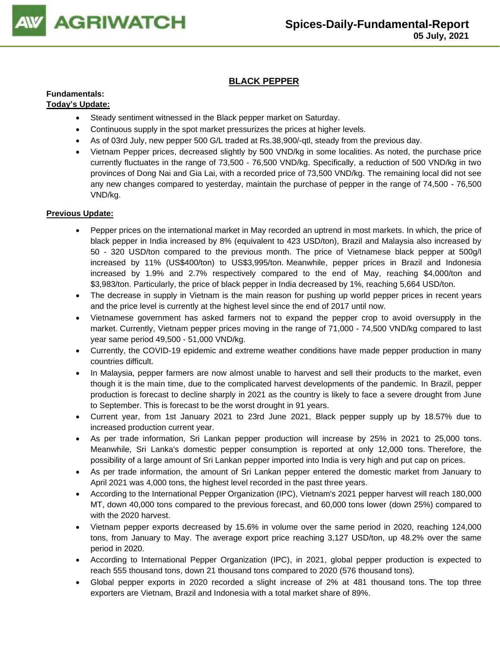

#### **BLACK PEPPER**

### **Fundamentals:**

#### **Today's Update:**

- Steady sentiment witnessed in the Black pepper market on Saturday.
- Continuous supply in the spot market pressurizes the prices at higher levels.
- As of 03rd July, new pepper 500 G/L traded at Rs.38,900/-qtl, steady from the previous day.
- Vietnam Pepper prices, decreased slightly by 500 VND/kg in some localities. As noted, the purchase price currently fluctuates in the range of 73,500 - 76,500 VND/kg. Specifically, a reduction of 500 VND/kg in two provinces of Dong Nai and Gia Lai, with a recorded price of 73,500 VND/kg. The remaining local did not see any new changes compared to yesterday, maintain the purchase of pepper in the range of 74,500 - 76,500 VND/kg.

- Pepper prices on the international market in May recorded an uptrend in most markets. In which, the price of black pepper in India increased by 8% (equivalent to 423 USD/ton), Brazil and Malaysia also increased by 50 - 320 USD/ton compared to the previous month. The price of Vietnamese black pepper at 500g/l increased by 11% (US\$400/ton) to US\$3,995/ton. Meanwhile, pepper prices in Brazil and Indonesia increased by 1.9% and 2.7% respectively compared to the end of May, reaching \$4,000/ton and \$3,983/ton. Particularly, the price of black pepper in India decreased by 1%, reaching 5,664 USD/ton.
- The decrease in supply in Vietnam is the main reason for pushing up world pepper prices in recent years and the price level is currently at the highest level since the end of 2017 until now.
- Vietnamese government has asked farmers not to expand the pepper crop to avoid oversupply in the market. Currently, Vietnam pepper prices moving in the range of 71,000 - 74,500 VND/kg compared to last year same period 49,500 - 51,000 VND/kg.
- Currently, the COVID-19 epidemic and extreme weather conditions have made pepper production in many countries difficult.
- In Malaysia, pepper farmers are now almost unable to harvest and sell their products to the market, even though it is the main time, due to the complicated harvest developments of the pandemic. In Brazil, pepper production is forecast to decline sharply in 2021 as the country is likely to face a severe drought from June to September. This is forecast to be the worst drought in 91 years.
- Current year, from 1st January 2021 to 23rd June 2021, Black pepper supply up by 18.57% due to increased production current year.
- As per trade information, Sri Lankan pepper production will increase by 25% in 2021 to 25,000 tons. Meanwhile, Sri Lanka's domestic pepper consumption is reported at only 12,000 tons. Therefore, the possibility of a large amount of Sri Lankan pepper imported into India is very high and put cap on prices.
- As per trade information, the amount of Sri Lankan pepper entered the domestic market from January to April 2021 was 4,000 tons, the highest level recorded in the past three years.
- According to the International Pepper Organization (IPC), Vietnam's 2021 pepper harvest will reach 180,000 MT, down 40,000 tons compared to the previous forecast, and 60,000 tons lower (down 25%) compared to with the 2020 harvest.
- Vietnam pepper exports decreased by 15.6% in volume over the same period in 2020, reaching 124,000 tons, from January to May. The average export price reaching 3,127 USD/ton, up 48.2% over the same period in 2020.
- According to International Pepper Organization (IPC), in 2021, global pepper production is expected to reach 555 thousand tons, down 21 thousand tons compared to 2020 (576 thousand tons).
- Global pepper exports in 2020 recorded a slight increase of 2% at 481 thousand tons. The top three exporters are Vietnam, Brazil and Indonesia with a total market share of 89%.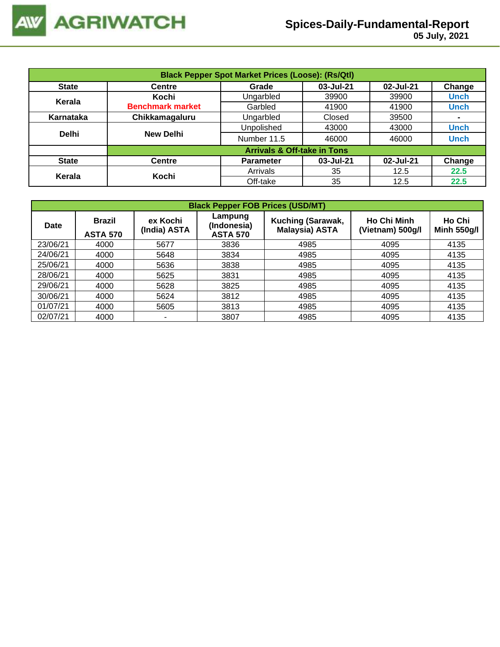

| <b>Black Pepper Spot Market Prices (Loose): (Rs/Qtl)</b> |                                        |                   |           |           |             |  |  |
|----------------------------------------------------------|----------------------------------------|-------------------|-----------|-----------|-------------|--|--|
| <b>State</b>                                             | Centre                                 | Grade             | 03-Jul-21 | 02-Jul-21 | Change      |  |  |
| Kerala                                                   | Kochi                                  | Ungarbled         | 39900     | 39900     | <b>Unch</b> |  |  |
|                                                          | <b>Benchmark market</b>                | Garbled           | 41900     | 41900     | <b>Unch</b> |  |  |
| Karnataka                                                | Chikkamagaluru                         | Ungarbled         | Closed    | 39500     | ۰           |  |  |
|                                                          |                                        | <b>Unpolished</b> | 43000     | 43000     | <b>Unch</b> |  |  |
| <b>Delhi</b>                                             | <b>New Delhi</b>                       | Number 11.5       | 46000     | 46000     | <b>Unch</b> |  |  |
|                                                          | <b>Arrivals &amp; Off-take in Tons</b> |                   |           |           |             |  |  |
| <b>State</b>                                             | <b>Centre</b>                          | <b>Parameter</b>  | 03-Jul-21 | 02-Jul-21 | Change      |  |  |
|                                                          | Kochi                                  | Arrivals          | 35        | 12.5      | 22.5        |  |  |
| Kerala                                                   |                                        | Off-take          | 35        | 12.5      | 22.5        |  |  |

|             | <b>Black Pepper FOB Prices (USD/MT)</b> |                                                                       |      |                                            |                                        |                              |  |  |  |  |  |
|-------------|-----------------------------------------|-----------------------------------------------------------------------|------|--------------------------------------------|----------------------------------------|------------------------------|--|--|--|--|--|
| <b>Date</b> | <b>Brazil</b><br><b>ASTA 570</b>        | Lampung<br>ex Kochi<br>(Indonesia)<br>(India) ASTA<br><b>ASTA 570</b> |      | Kuching (Sarawak,<br><b>Malaysia) ASTA</b> | <b>Ho Chi Minh</b><br>(Vietnam) 500g/l | Ho Chi<br><b>Minh 550g/l</b> |  |  |  |  |  |
| 23/06/21    | 4000                                    | 5677                                                                  | 3836 | 4985                                       | 4095                                   | 4135                         |  |  |  |  |  |
| 24/06/21    | 4000                                    | 5648                                                                  | 3834 | 4985                                       | 4095                                   | 4135                         |  |  |  |  |  |
| 25/06/21    | 4000                                    | 5636                                                                  | 3838 | 4985                                       | 4095                                   | 4135                         |  |  |  |  |  |
| 28/06/21    | 4000                                    | 5625                                                                  | 3831 | 4985                                       | 4095                                   | 4135                         |  |  |  |  |  |
| 29/06/21    | 4000                                    | 5628                                                                  | 3825 | 4985                                       | 4095                                   | 4135                         |  |  |  |  |  |
| 30/06/21    | 4000                                    | 5624                                                                  | 3812 | 4985                                       | 4095                                   | 4135                         |  |  |  |  |  |
| 01/07/21    | 4000                                    | 5605                                                                  | 3813 | 4985                                       | 4095                                   | 4135                         |  |  |  |  |  |
| 02/07/21    | 4000                                    | ۰                                                                     | 3807 | 4985                                       | 4095                                   | 4135                         |  |  |  |  |  |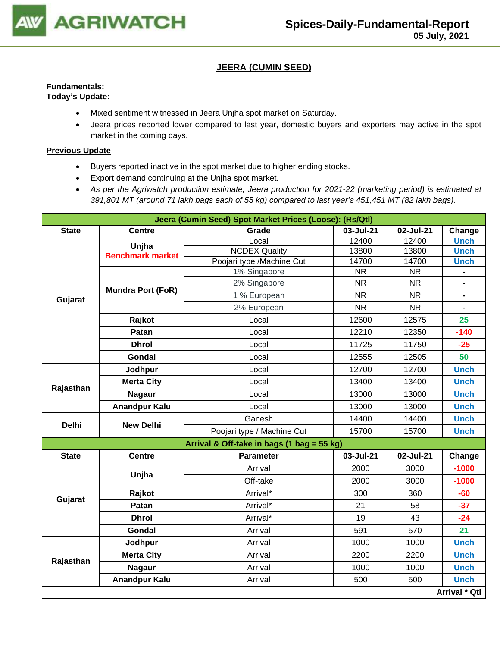

#### **JEERA (CUMIN SEED)**

#### **Fundamentals: Today's Update:**

- Mixed sentiment witnessed in Jeera Unjha spot market on Saturday.
- Jeera prices reported lower compared to last year, domestic buyers and exporters may active in the spot market in the coming days.

- Buyers reported inactive in the spot market due to higher ending stocks.
- Export demand continuing at the Unjha spot market.
- *As per the Agriwatch production estimate, Jeera production for 2021-22 (marketing period) is estimated at 391,801 MT (around 71 lakh bags each of 55 kg) compared to last year's 451,451 MT (82 lakh bags).*

|              |                          | Jeera (Cumin Seed) Spot Market Prices (Loose): (Rs/Qtl) |           |           |                                                                                                                                                                     |  |  |  |
|--------------|--------------------------|---------------------------------------------------------|-----------|-----------|---------------------------------------------------------------------------------------------------------------------------------------------------------------------|--|--|--|
| <b>State</b> | <b>Centre</b>            | Grade                                                   | 03-Jul-21 | 02-Jul-21 | Change                                                                                                                                                              |  |  |  |
|              | Unjha                    | Local                                                   | 12400     | 12400     |                                                                                                                                                                     |  |  |  |
|              | <b>Benchmark market</b>  | <b>NCDEX Quality</b>                                    | 13800     | 13800     |                                                                                                                                                                     |  |  |  |
|              |                          | Poojari type /Machine Cut                               | 14700     | 14700     |                                                                                                                                                                     |  |  |  |
|              |                          | 1% Singapore                                            | <b>NR</b> | <b>NR</b> |                                                                                                                                                                     |  |  |  |
|              | <b>Mundra Port (FoR)</b> | 2% Singapore                                            | <b>NR</b> | <b>NR</b> |                                                                                                                                                                     |  |  |  |
| Gujarat      |                          | 1 % European                                            | <b>NR</b> | <b>NR</b> |                                                                                                                                                                     |  |  |  |
|              |                          | 2% European                                             | <b>NR</b> | <b>NR</b> | $\blacksquare$                                                                                                                                                      |  |  |  |
|              | Rajkot                   | Local                                                   | 12600     | 12575     | 25                                                                                                                                                                  |  |  |  |
|              | Patan                    | Local                                                   | 12210     | 12350     | $-140$                                                                                                                                                              |  |  |  |
|              | <b>Dhrol</b>             | Local                                                   | 11725     | 11750     | $-25$                                                                                                                                                               |  |  |  |
|              | Gondal                   | Local                                                   | 12555     | 12505     | 50                                                                                                                                                                  |  |  |  |
|              | Jodhpur                  | Local                                                   | 12700     | 12700     | <b>Unch</b>                                                                                                                                                         |  |  |  |
|              | <b>Merta City</b>        | Local                                                   | 13400     | 13400     | <b>Unch</b>                                                                                                                                                         |  |  |  |
| Rajasthan    | <b>Nagaur</b>            | Local                                                   | 13000     | 13000     | <b>Unch</b>                                                                                                                                                         |  |  |  |
|              | <b>Anandpur Kalu</b>     | Local                                                   | 13000     | 13000     | <b>Unch</b>                                                                                                                                                         |  |  |  |
| <b>Delhi</b> | <b>New Delhi</b>         | Ganesh                                                  | 14400     | 14400     | <b>Unch</b>                                                                                                                                                         |  |  |  |
|              |                          | Poojari type / Machine Cut                              | 15700     | 15700     | <b>Unch</b>                                                                                                                                                         |  |  |  |
|              |                          | Arrival & Off-take in bags (1 bag = 55 kg)              |           |           |                                                                                                                                                                     |  |  |  |
| <b>State</b> | <b>Centre</b>            | <b>Parameter</b>                                        | 03-Jul-21 | 02-Jul-21 | Change                                                                                                                                                              |  |  |  |
|              | Unjha                    | Arrival                                                 | 2000      | 3000      | $-1000$                                                                                                                                                             |  |  |  |
|              |                          | Off-take                                                | 2000      | 3000      | <b>Unch</b><br><b>Unch</b><br><b>Unch</b><br>$\blacksquare$<br>$-1000$<br>$-60$<br>$-37$<br>$-24$<br>21<br><b>Unch</b><br><b>Unch</b><br><b>Unch</b><br><b>Unch</b> |  |  |  |
| Gujarat      | Rajkot                   | Arrival*                                                | 300       | 360       |                                                                                                                                                                     |  |  |  |
|              | Patan                    | Arrival*                                                | 21        | 58        |                                                                                                                                                                     |  |  |  |
|              | <b>Dhrol</b>             | Arrival*                                                | 19        | 43        |                                                                                                                                                                     |  |  |  |
|              | <b>Gondal</b>            | Arrival                                                 | 591       | 570       |                                                                                                                                                                     |  |  |  |
|              | Jodhpur                  | Arrival                                                 | 1000      | 1000      |                                                                                                                                                                     |  |  |  |
|              | <b>Merta City</b>        | Arrival                                                 | 2200      | 2200      |                                                                                                                                                                     |  |  |  |
| Rajasthan    | <b>Nagaur</b>            | Arrival                                                 | 1000      | 1000      |                                                                                                                                                                     |  |  |  |
|              | <b>Anandpur Kalu</b>     | Arrival                                                 | 500       | 500       |                                                                                                                                                                     |  |  |  |
|              |                          |                                                         |           |           | Arrival * Qtl                                                                                                                                                       |  |  |  |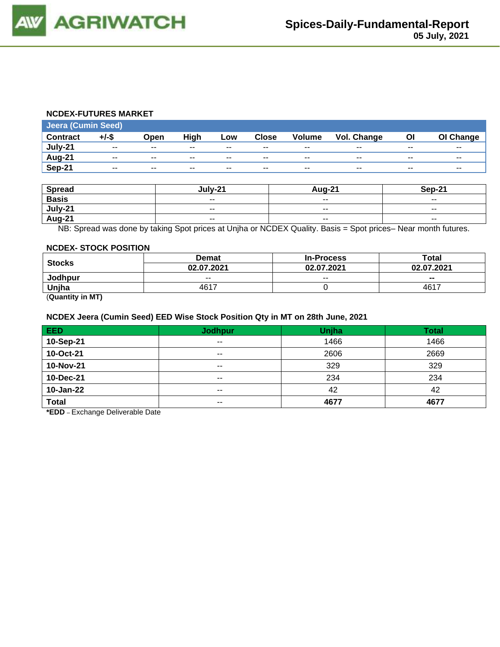#### **NCDEX-FUTURES MARKET**

| <b>Jeera (Cumin Seed)</b> |                          |       |       |                          |              |                          |                    |       |           |
|---------------------------|--------------------------|-------|-------|--------------------------|--------------|--------------------------|--------------------|-------|-----------|
| <b>Contract</b>           | $+/-$ \$                 | Open  | High  | Low                      | <b>Close</b> | <b>Volume</b>            | <b>Vol. Change</b> | ΟI    | OI Change |
| July-21                   | $- -$                    | $- -$ | $- -$ | $- -$                    | $- -$        | $- -$                    | $- -$              | $- -$ | $- -$     |
| Aug-21                    | $\overline{\phantom{a}}$ | $- -$ | $- -$ | $\overline{\phantom{a}}$ | $- -$        | $\overline{\phantom{a}}$ | $- -$              | $- -$ | $- -$     |
| Sep-21                    | $- -$                    | $- -$ | $- -$ | $- -$                    | $- -$        | $- -$                    | $- -$              | $- -$ | $- -$     |

| <b>Spread</b> | lulv-21                  | <b>Aug-21</b>            | Sep-21                   |
|---------------|--------------------------|--------------------------|--------------------------|
| <b>Basis</b>  | $\overline{\phantom{a}}$ | $\sim$ $\sim$            | $\overline{\phantom{a}}$ |
| July-21       | $\overline{\phantom{a}}$ | $\overline{\phantom{a}}$ | $\sim$ $\sim$            |
| <b>Aug-21</b> | $\sim$ $\sim$            | $\sim$ $\sim$            | $- -$                    |

NB: Spread was done by taking Spot prices at Unjha or NCDEX Quality. Basis = Spot prices– Near month futures.

#### **NCDEX- STOCK POSITION**

|                      | <b>Demat</b> | <b>In-Process</b>        | Total          |  |
|----------------------|--------------|--------------------------|----------------|--|
| <b>Stocks</b>        | 02.07.2021   | 02.07.2021               | 02.07.2021     |  |
| Jodhpur              | $- -$        | $\overline{\phantom{a}}$ | $\blacksquare$ |  |
| Uniha                | 4617         |                          | 4617           |  |
| $\sim$ $\sim$ $\sim$ |              |                          |                |  |

(**Quantity in MT)**

#### **NCDEX Jeera (Cumin Seed) EED Wise Stock Position Qty in MT on 28th June, 2021**

| <b>EED</b>   | <b>Jodhpur</b> | Unjha | <b>Total</b> |
|--------------|----------------|-------|--------------|
| 10-Sep-21    | $\sim$ $\sim$  | 1466  | 1466         |
| 10-Oct-21    | $\sim$ $\sim$  | 2606  | 2669         |
| 10-Nov-21    | $\sim$ $\sim$  | 329   | 329          |
| 10-Dec-21    | $\sim$ $\sim$  | 234   | 234          |
| 10-Jan-22    | $- -$          | 42    | 42           |
| <b>Total</b> | $- -$          | 4677  | 4677         |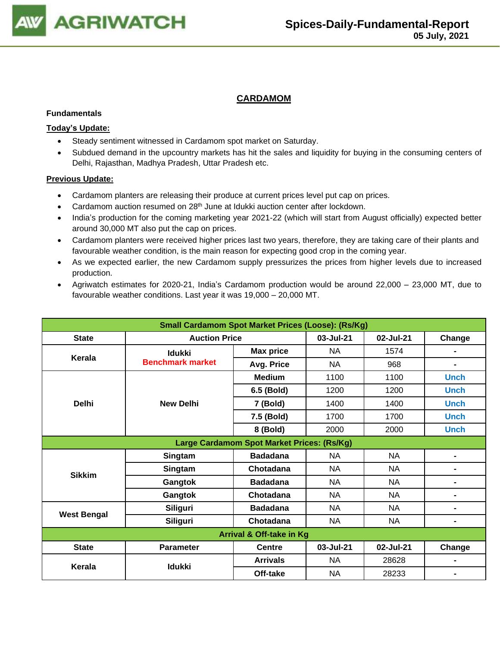

#### **CARDAMOM**

#### **Fundamentals**

#### **Today's Update:**

- Steady sentiment witnessed in Cardamom spot market on Saturday.
- Subdued demand in the upcountry markets has hit the sales and liquidity for buying in the consuming centers of Delhi, Rajasthan, Madhya Pradesh, Uttar Pradesh etc.

- Cardamom planters are releasing their produce at current prices level put cap on prices.
- Cardamom auction resumed on 28<sup>th</sup> June at Idukki auction center after lockdown.
- India's production for the coming marketing year 2021-22 (which will start from August officially) expected better around 30,000 MT also put the cap on prices.
- Cardamom planters were received higher prices last two years, therefore, they are taking care of their plants and favourable weather condition, is the main reason for expecting good crop in the coming year.
- As we expected earlier, the new Cardamom supply pressurizes the prices from higher levels due to increased production.
- Agriwatch estimates for 2020-21, India's Cardamom production would be around 22,000 23,000 MT, due to favourable weather conditions. Last year it was 19,000 – 20,000 MT.

| <b>Small Cardamom Spot Market Prices (Loose): (Rs/Kg)</b> |                         |                                            |           |           |             |  |  |
|-----------------------------------------------------------|-------------------------|--------------------------------------------|-----------|-----------|-------------|--|--|
| <b>State</b>                                              | <b>Auction Price</b>    | 03-Jul-21                                  | 02-Jul-21 | Change    |             |  |  |
| Kerala                                                    | <b>Idukki</b>           | <b>Max price</b>                           | <b>NA</b> | 1574      |             |  |  |
|                                                           | <b>Benchmark market</b> | Avg. Price                                 | <b>NA</b> | 968       |             |  |  |
|                                                           |                         | <b>Medium</b>                              | 1100      | 1100      | <b>Unch</b> |  |  |
|                                                           |                         | 6.5 (Bold)                                 | 1200      | 1200      | <b>Unch</b> |  |  |
| <b>Delhi</b>                                              | <b>New Delhi</b>        | 7 (Bold)                                   | 1400      | 1400      | <b>Unch</b> |  |  |
|                                                           |                         | 7.5 (Bold)                                 | 1700      | 1700      | <b>Unch</b> |  |  |
|                                                           |                         | 8 (Bold)                                   | 2000      | 2000      | <b>Unch</b> |  |  |
|                                                           |                         | Large Cardamom Spot Market Prices: (Rs/Kg) |           |           |             |  |  |
|                                                           | Singtam                 | <b>Badadana</b>                            | NA.       | <b>NA</b> |             |  |  |
| <b>Sikkim</b>                                             | Singtam                 | Chotadana                                  | <b>NA</b> | NA        |             |  |  |
|                                                           | Gangtok                 | <b>Badadana</b>                            | <b>NA</b> | <b>NA</b> |             |  |  |
|                                                           | Gangtok                 | Chotadana                                  | <b>NA</b> | <b>NA</b> | Ξ.          |  |  |
|                                                           | Siliguri                | <b>Badadana</b>                            | <b>NA</b> | <b>NA</b> | Ξ.          |  |  |
| <b>West Bengal</b>                                        | Siliguri                | Chotadana                                  | <b>NA</b> | <b>NA</b> |             |  |  |
| Arrival & Off-take in Kg                                  |                         |                                            |           |           |             |  |  |
| <b>State</b>                                              | <b>Parameter</b>        | <b>Centre</b>                              | 03-Jul-21 | 02-Jul-21 | Change      |  |  |
| Kerala                                                    | <b>Idukki</b>           | <b>Arrivals</b>                            | <b>NA</b> | 28628     |             |  |  |
|                                                           |                         | Off-take                                   | <b>NA</b> | 28233     |             |  |  |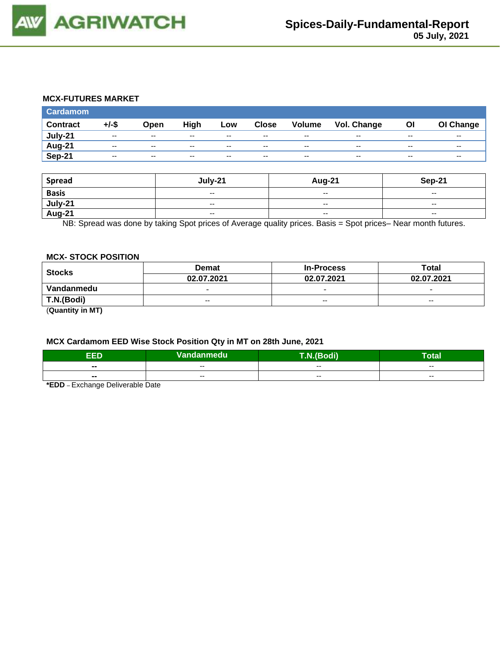

#### **MCX-FUTURES MARKET**

| <b>Cardamom</b> |          |               |       |               |              |                          |                    |       |           |
|-----------------|----------|---------------|-------|---------------|--------------|--------------------------|--------------------|-------|-----------|
| <b>Contract</b> | $+/-$ \$ | Open          | High  | Low           | <b>Close</b> | Volume                   | <b>Vol. Change</b> | Οl    | OI Change |
| July-21         | $- -$    | $\sim$ $\sim$ | $- -$ | $\sim$ $\sim$ | $-$          | $\overline{\phantom{a}}$ | $- -$              | $- -$ | $- -$     |
| Aug-21          | $- -$    | $\sim$ $\sim$ | $- -$ | $- -$         | $- -$        | $\overline{\phantom{a}}$ | $- -$              | --    | $- -$     |
| Sep-21          | $- -$    | $-$           | $- -$ | $- -$         | $- -$        | $\overline{\phantom{a}}$ | $- -$              | --    | $- -$     |

| <b>Spread</b>  | July-21                  | Aug-21                   | Sep-21                   |
|----------------|--------------------------|--------------------------|--------------------------|
| <b>Basis</b>   | $\overline{\phantom{a}}$ | $- -$                    | $- -$                    |
| <u>July-21</u> | $- -$                    | $\overline{\phantom{a}}$ | $- -$                    |
| <b>Aug-21</b>  | $\overline{\phantom{a}}$ | $\overline{\phantom{a}}$ | $\overline{\phantom{a}}$ |

NB: Spread was done by taking Spot prices of Average quality prices. Basis = Spot prices– Near month futures.

#### **MCX- STOCK POSITION**

| <b>Stocks</b> | <b>Demat</b>             | <b>In-Process</b>        | Total                    |  |
|---------------|--------------------------|--------------------------|--------------------------|--|
|               | 02.07.2021               | 02.07.2021               | 02.07.2021               |  |
| Vandanmedu    | $\overline{\phantom{0}}$ | $\overline{\phantom{0}}$ | $\overline{\phantom{0}}$ |  |
| T.N.(Bodi)    | $- -$                    | $- -$                    | $- -$                    |  |
| $\sim$        |                          |                          |                          |  |

(**Quantity in MT)**

#### **MCX Cardamom EED Wise Stock Position Qty in MT on 28th June, 2021**

| ccn    | Vandanmedu | <b>THE VALUE</b> | <b>Total</b> |  |
|--------|------------|------------------|--------------|--|
|        |            | $- -$            |              |  |
| $\sim$ | $- -$      |                  | $- -$        |  |
| $\sim$ |            | $- -$            |              |  |
|        | --         |                  | $- -$        |  |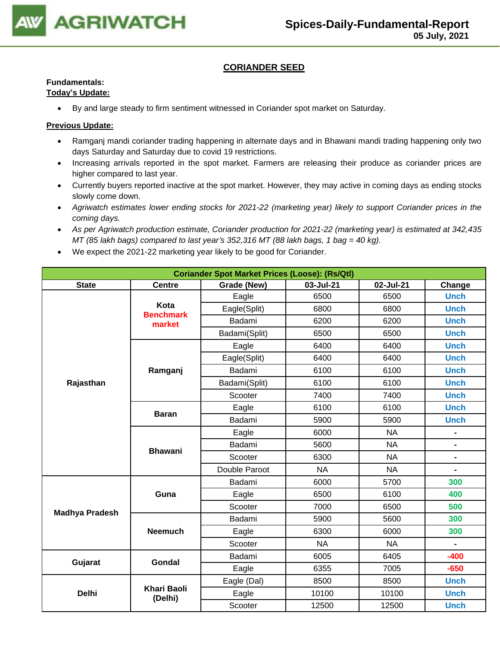

#### **CORIANDER SEED**

### **Fundamentals:**

#### **Today's Update:**

• By and large steady to firm sentiment witnessed in Coriander spot market on Saturday.

- Ramganj mandi coriander trading happening in alternate days and in Bhawani mandi trading happening only two days Saturday and Saturday due to covid 19 restrictions.
- Increasing arrivals reported in the spot market. Farmers are releasing their produce as coriander prices are higher compared to last year.
- Currently buyers reported inactive at the spot market. However, they may active in coming days as ending stocks slowly come down.
- *Agriwatch estimates lower ending stocks for 2021-22 (marketing year) likely to support Coriander prices in the coming days.*
- *As per Agriwatch production estimate, Coriander production for 2021-22 (marketing year) is estimated at 342,435 MT (85 lakh bags) compared to last year's 352,316 MT (88 lakh bags, 1 bag = 40 kg).*
- We expect the 2021-22 marketing year likely to be good for Coriander.

| <b>Coriander Spot Market Prices (Loose): (Rs/Qtl)</b> |                               |               |           |           |                |  |  |
|-------------------------------------------------------|-------------------------------|---------------|-----------|-----------|----------------|--|--|
| <b>State</b>                                          | <b>Centre</b>                 | Grade (New)   | Change    |           |                |  |  |
|                                                       |                               | Eagle         | 6500      | 6500      | <b>Unch</b>    |  |  |
|                                                       | Kota<br><b>Benchmark</b>      | Eagle(Split)  | 6800      | 6800      | <b>Unch</b>    |  |  |
|                                                       | market                        | Badami        | 6200      | 6200      | <b>Unch</b>    |  |  |
|                                                       |                               | Badami(Split) | 6500      | 6500      | <b>Unch</b>    |  |  |
|                                                       |                               | Eagle         | 6400      | 6400      | <b>Unch</b>    |  |  |
|                                                       |                               | Eagle(Split)  | 6400      | 6400      | <b>Unch</b>    |  |  |
|                                                       | Ramganj                       | Badami        | 6100      | 6100      | <b>Unch</b>    |  |  |
| Rajasthan                                             |                               | Badami(Split) | 6100      | 6100      | <b>Unch</b>    |  |  |
|                                                       |                               | Scooter       | 7400      | 7400      | <b>Unch</b>    |  |  |
|                                                       |                               | Eagle         | 6100      | 6100      | <b>Unch</b>    |  |  |
|                                                       | <b>Baran</b>                  | Badami        | 5900      | 5900      | <b>Unch</b>    |  |  |
|                                                       |                               | Eagle         | 6000      | <b>NA</b> | $\blacksquare$ |  |  |
|                                                       |                               | Badami        | 5600      | <b>NA</b> | $\blacksquare$ |  |  |
|                                                       | <b>Bhawani</b>                | Scooter       | 6300      | <b>NA</b> | $\blacksquare$ |  |  |
|                                                       |                               | Double Paroot | <b>NA</b> | <b>NA</b> | $\blacksquare$ |  |  |
|                                                       |                               | Badami        | 6000      | 5700      | 300            |  |  |
|                                                       | Guna                          | Eagle         | 6500      | 6100      | 400            |  |  |
|                                                       |                               | Scooter       | 7000      | 6500      | 500            |  |  |
| <b>Madhya Pradesh</b>                                 |                               | Badami        | 5900      | 5600      | 300            |  |  |
|                                                       | <b>Neemuch</b>                | Eagle         | 6300      | 6000      | 300            |  |  |
|                                                       |                               | Scooter       | <b>NA</b> | <b>NA</b> | $\blacksquare$ |  |  |
|                                                       |                               | Badami        | 6005      | 6405      | $-400$         |  |  |
| Gujarat                                               | <b>Gondal</b>                 | Eagle         | 6355      | 7005      | $-650$         |  |  |
|                                                       |                               | Eagle (Dal)   | 8500      | 8500      | <b>Unch</b>    |  |  |
| <b>Delhi</b>                                          | <b>Khari Baoli</b><br>(Delhi) | Eagle         | 10100     | 10100     | <b>Unch</b>    |  |  |
|                                                       |                               | Scooter       | 12500     | 12500     | <b>Unch</b>    |  |  |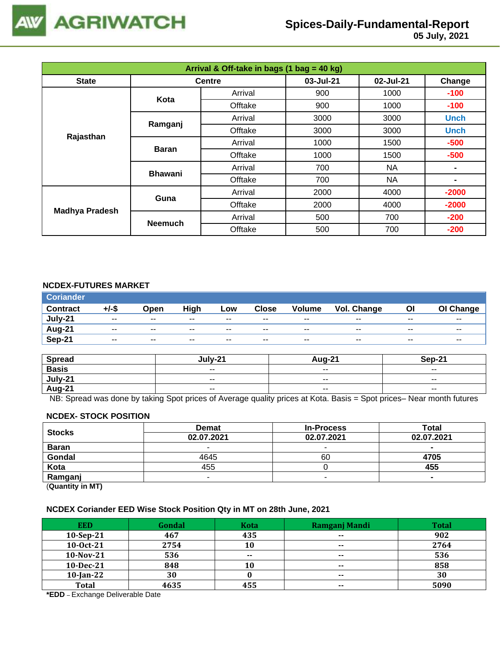

## **Spices-Daily-Fundamental-Report**

| Arrival & Off-take in bags (1 bag = 40 kg) |                |               |           |           |                |  |  |
|--------------------------------------------|----------------|---------------|-----------|-----------|----------------|--|--|
| <b>State</b>                               |                | <b>Centre</b> | 03-Jul-21 | 02-Jul-21 | Change         |  |  |
| Kota                                       |                | Arrival       | 900       | 1000      | $-100$         |  |  |
|                                            |                | Offtake       | 900       | 1000      | $-100$         |  |  |
|                                            | Ramganj        | Arrival       | 3000      | 3000      | <b>Unch</b>    |  |  |
|                                            |                | Offtake       | 3000      | 3000      | <b>Unch</b>    |  |  |
| Rajasthan                                  | <b>Baran</b>   | Arrival       | 1000      | 1500      | $-500$         |  |  |
|                                            |                | Offtake       | 1000      | 1500      | $-500$         |  |  |
|                                            | <b>Bhawani</b> | Arrival       | 700       | <b>NA</b> |                |  |  |
|                                            |                | Offtake       | 700       | <b>NA</b> | $\blacksquare$ |  |  |
| <b>Madhya Pradesh</b>                      | Guna           | Arrival       | 2000      | 4000      | $-2000$        |  |  |
|                                            |                | Offtake       | 2000      | 4000      | $-2000$        |  |  |
|                                            |                | Arrival       | 500       | 700       | $-200$         |  |  |
|                                            | <b>Neemuch</b> | Offtake       | 500       | 700       | $-200$         |  |  |

#### **NCDEX-FUTURES MARKET**

| <b>Coriander</b> |               |               |       |       |               |               |             |       |                          |
|------------------|---------------|---------------|-------|-------|---------------|---------------|-------------|-------|--------------------------|
| <b>Contract</b>  | +/-\$         | Open          | High  | Low   | <b>Close</b>  | <b>Volume</b> | Vol. Change | OI    | OI Change                |
| July-21          | $\sim$ $\sim$ | $\sim$ $\sim$ | $- -$ | $- -$ | $\sim$ $\sim$ | $- -$         | $- -$       | $- -$ | $\overline{\phantom{a}}$ |
| Aug-21           | $- -$         | $- -$         | $- -$ | $- -$ | $- -$         | $- -$         | $- -$       | $- -$ | $- -$                    |
| Sep-21           | $- -$         | $\sim$ $\sim$ | $- -$ | $- -$ | $- -$         | $- -$         | $-$         | $- -$ | $- -$                    |

| <b>Spread</b> | $-111V-22$ | Aug-21                   | Sep-21                   |
|---------------|------------|--------------------------|--------------------------|
| <b>Basis</b>  | $ -$       | $\overline{\phantom{a}}$ | $\overline{\phantom{a}}$ |
| July-21       | $- -$      | $- -$                    | $- -$                    |
| <b>Aug-21</b> | $ -$       | $\overline{\phantom{a}}$ | $\overline{\phantom{a}}$ |

NB: Spread was done by taking Spot prices of Average quality prices at Kota. Basis = Spot prices– Near month futures

#### **NCDEX- STOCK POSITION**

| <b>Stocks</b>           | <b>Demat</b> | <b>In-Process</b> | Total      |
|-------------------------|--------------|-------------------|------------|
|                         | 02.07.2021   | 02.07.2021        | 02.07.2021 |
| <b>Baran</b>            | -            |                   | $\sim$     |
| Gondal                  | 4645         | 60                | 4705       |
| Kota                    | 455          |                   | 455        |
| Ramganj                 | -            |                   |            |
| (0.1222, 0.0122, 0.000) |              |                   |            |

(**Quantity in MT)**

#### **NCDEX Coriander EED Wise Stock Position Qty in MT on 28th June, 2021**

| <b>EED</b>   | Gondal | <b>Kota</b> | Ramganj Mandi            | <b>Total</b> |
|--------------|--------|-------------|--------------------------|--------------|
| $10-Sep-21$  | 467    | 435         | $\overline{\phantom{a}}$ | 902          |
| 10-0ct-21    | 2754   | 10          | $- -$                    | 2764         |
| $10-Nov-21$  | 536    | $- -$       | $\overline{\phantom{a}}$ | 536          |
| 10-Dec-21    | 848    | 10          | $\sim$ $\sim$            | 858          |
| $10$ -Jan-22 | 30     |             | $\overline{\phantom{a}}$ | 30           |
| <b>Total</b> | 4635   | 455         | $- -$                    | 5090         |